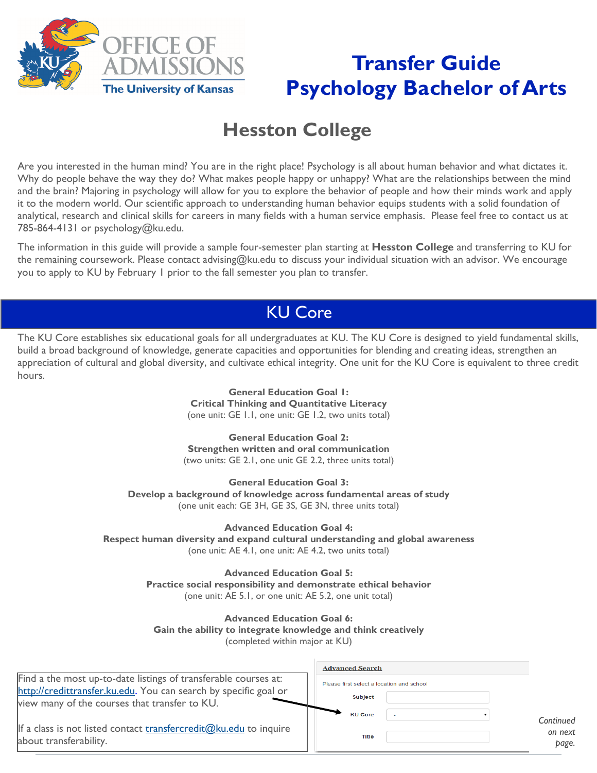

# **Transfer Guide Psychology Bachelor of Arts**

# **Hesston College**

Are you interested in the human mind? You are in the right place! Psychology is all about human behavior and what dictates it. Why do people behave the way they do? What makes people happy or unhappy? What are the relationships between the mind and the brain? Majoring in psychology will allow for you to explore the behavior of people and how their minds work and apply it to the modern world. Our scientific approach to understanding human behavior equips students with a solid foundation of analytical, research and clinical skills for careers in many fields with a human service emphasis. Please feel free to contact us at 785-864-4131 or psychology@ku.edu.

The information in this guide will provide a sample four-semester plan starting at **Hesston College** and transferring to KU for the remaining coursework. Please contact advising@ku.edu to discuss your individual situation with an advisor. We encourage you to apply to KU by February 1 prior to the fall semester you plan to transfer.

## KU Core

The KU Core establishes six educational goals for all undergraduates at KU. The KU Core is designed to yield fundamental skills, build a broad background of knowledge, generate capacities and opportunities for blending and creating ideas, strengthen an appreciation of cultural and global diversity, and cultivate ethical integrity. One unit for the KU Core is equivalent to three credit hours.

> **General Education Goal 1: Critical Thinking and Quantitative Literacy**  (one unit: GE 1.1, one unit: GE 1.2, two units total)

**General Education Goal 2: Strengthen written and oral communication**  (two units: GE 2.1, one unit GE 2.2, three units total)

**General Education Goal 3: Develop a background of knowledge across fundamental areas of study**  (one unit each: GE 3H, GE 3S, GE 3N, three units total)

**Advanced Education Goal 4: Respect human diversity and expand cultural understanding and global awareness**  (one unit: AE 4.1, one unit: AE 4.2, two units total)

> **Advanced Education Goal 5: Practice social responsibility and demonstrate ethical behavior**  (one unit: AE 5.1, or one unit: AE 5.2, one unit total)

**Advanced Education Goal 6: Gain the ability to integrate knowledge and think creatively** (completed within major at KU)

|                                                                                                                   | <b>Advanced Search</b>                    |                  |
|-------------------------------------------------------------------------------------------------------------------|-------------------------------------------|------------------|
| Find a the most up-to-date listings of transferable courses at:                                                   | Please first select a location and school |                  |
| http://credittransfer.ku.edu. You can search by specific goal or<br>view many of the courses that transfer to KU. | <b>Subject</b>                            |                  |
|                                                                                                                   | <b>KU Core</b>                            | Continued        |
| If a class is not listed contact transfercredit@ku.edu to inquire<br>about transferability.                       | <b>Title</b>                              | on next<br>page. |